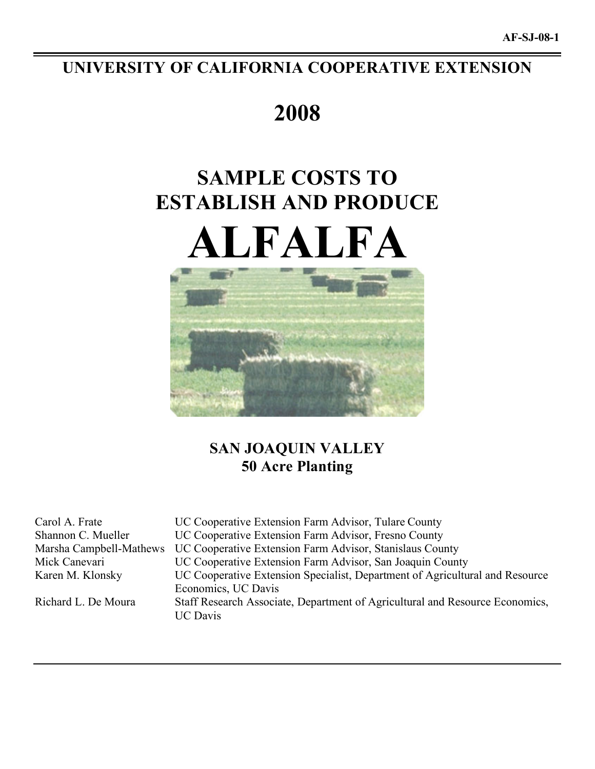# **UNIVERSITY OF CALIFORNIA COOPERATIVE EXTENSION**

# **2008**

# **SAMPLE COSTS TO ESTABLISH AND PRODUCE ALFALFA**



# **SAN JOAQUIN VALLEY 50 Acre Planting**

Carol A. Frate UC Cooperative Extension Farm Advisor, Tulare County Shannon C. Mueller UC Cooperative Extension Farm Advisor, Fresno County Marsha Campbell-Mathews UC Cooperative Extension Farm Advisor, Stanislaus County Mick Canevari UC Cooperative Extension Farm Advisor, San Joaquin County Karen M. Klonsky UC Cooperative Extension Specialist, Department of Agricultural and Resource Economics, UC Davis Richard L. De Moura Staff Research Associate, Department of Agricultural and Resource Economics, UC Davis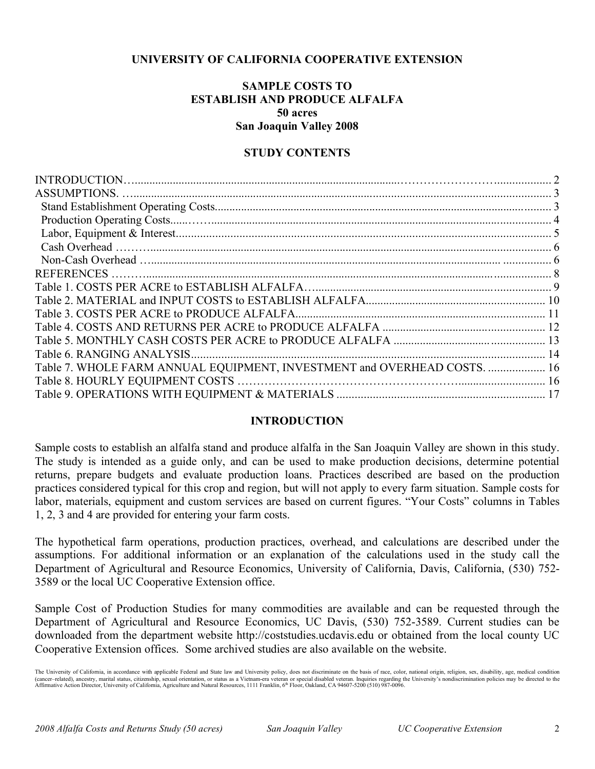## **UNIVERSITY OF CALIFORNIA COOPERATIVE EXTENSION**

# **SAMPLE COSTS TO ESTABLISH AND PRODUCE ALFALFA 50 acres San Joaquin Valley 2008**

## **STUDY CONTENTS**

| <b>REFERENCES</b> .                                                      |  |
|--------------------------------------------------------------------------|--|
|                                                                          |  |
|                                                                          |  |
|                                                                          |  |
|                                                                          |  |
|                                                                          |  |
|                                                                          |  |
| Table 7. WHOLE FARM ANNUAL EQUIPMENT, INVESTMENT and OVERHEAD COSTS.  16 |  |
|                                                                          |  |
|                                                                          |  |

### **INTRODUCTION**

Sample costs to establish an alfalfa stand and produce alfalfa in the San Joaquin Valley are shown in this study. The study is intended as a guide only, and can be used to make production decisions, determine potential returns, prepare budgets and evaluate production loans. Practices described are based on the production practices considered typical for this crop and region, but will not apply to every farm situation. Sample costs for labor, materials, equipment and custom services are based on current figures. "Your Costs" columns in Tables 1, 2, 3 and 4 are provided for entering your farm costs.

The hypothetical farm operations, production practices, overhead, and calculations are described under the assumptions. For additional information or an explanation of the calculations used in the study call the Department of Agricultural and Resource Economics, University of California, Davis, California, (530) 752- 3589 or the local UC Cooperative Extension office.

Sample Cost of Production Studies for many commodities are available and can be requested through the Department of Agricultural and Resource Economics, UC Davis, (530) 752-3589. Current studies can be downloaded from the department website http://coststudies.ucdavis.edu or obtained from the local county UC Cooperative Extension offices. Some archived studies are also available on the website.

The University of California, in accordance with applicable Federal and State law and University policy, does not discriminate on the basis of race, color, national origin, religion, sex, disability, age, medical condition (cancer–related), ancestry, marital status, citizenship, sexual orientation, or status as a Vietnam-era veteran or special disabled veteran. Inquiries regarding the University's nondiscrimination policies may be directed t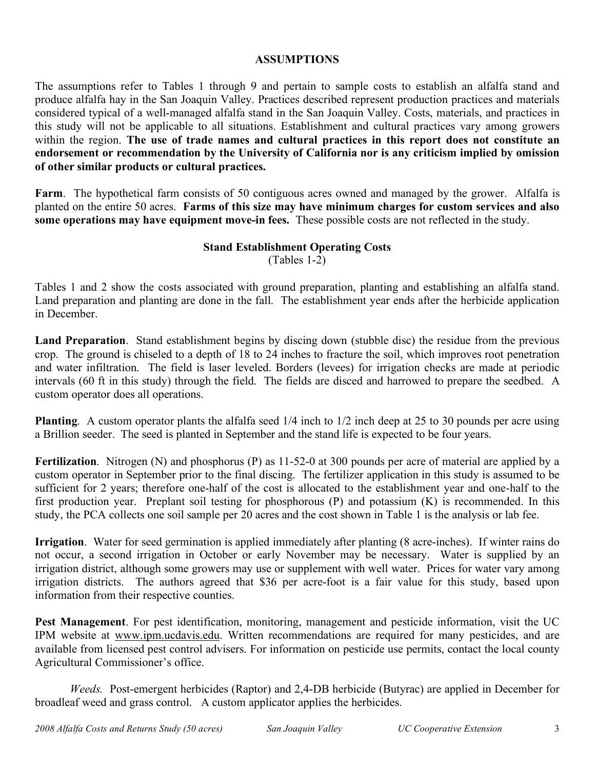## **ASSUMPTIONS**

The assumptions refer to Tables 1 through 9 and pertain to sample costs to establish an alfalfa stand and produce alfalfa hay in the San Joaquin Valley. Practices described represent production practices and materials considered typical of a well-managed alfalfa stand in the San Joaquin Valley. Costs, materials, and practices in this study will not be applicable to all situations. Establishment and cultural practices vary among growers within the region. **The use of trade names and cultural practices in this report does not constitute an endorsement or recommendation by the University of California nor is any criticism implied by omission of other similar products or cultural practices.**

**Farm**. The hypothetical farm consists of 50 contiguous acres owned and managed by the grower. Alfalfa is planted on the entire 50 acres. **Farms of this size may have minimum charges for custom services and also some operations may have equipment move-in fees.** These possible costs are not reflected in the study.

# **Stand Establishment Operating Costs**

(Tables 1-2)

Tables 1 and 2 show the costs associated with ground preparation, planting and establishing an alfalfa stand. Land preparation and planting are done in the fall. The establishment year ends after the herbicide application in December.

**Land Preparation**. Stand establishment begins by discing down (stubble disc) the residue from the previous crop. The ground is chiseled to a depth of 18 to 24 inches to fracture the soil, which improves root penetration and water infiltration. The field is laser leveled. Borders (levees) for irrigation checks are made at periodic intervals (60 ft in this study) through the field. The fields are disced and harrowed to prepare the seedbed. A custom operator does all operations.

**Planting**. A custom operator plants the alfalfa seed 1/4 inch to 1/2 inch deep at 25 to 30 pounds per acre using a Brillion seeder. The seed is planted in September and the stand life is expected to be four years.

**Fertilization**. Nitrogen (N) and phosphorus (P) as 11-52-0 at 300 pounds per acre of material are applied by a custom operator in September prior to the final discing. The fertilizer application in this study is assumed to be sufficient for 2 years; therefore one-half of the cost is allocated to the establishment year and one-half to the first production year. Preplant soil testing for phosphorous (P) and potassium (K) is recommended. In this study, the PCA collects one soil sample per 20 acres and the cost shown in Table 1 is the analysis or lab fee.

**Irrigation**. Water for seed germination is applied immediately after planting (8 acre-inches). If winter rains do not occur, a second irrigation in October or early November may be necessary. Water is supplied by an irrigation district, although some growers may use or supplement with well water. Prices for water vary among irrigation districts. The authors agreed that \$36 per acre-foot is a fair value for this study, based upon information from their respective counties.

**Pest Management**. For pest identification, monitoring, management and pesticide information, visit the UC IPM website at www.ipm.ucdavis.edu. Written recommendations are required for many pesticides, and are available from licensed pest control advisers. For information on pesticide use permits, contact the local county Agricultural Commissioner's office.

*Weeds.* Post-emergent herbicides (Raptor) and 2,4-DB herbicide (Butyrac) are applied in December for broadleaf weed and grass control. A custom applicator applies the herbicides.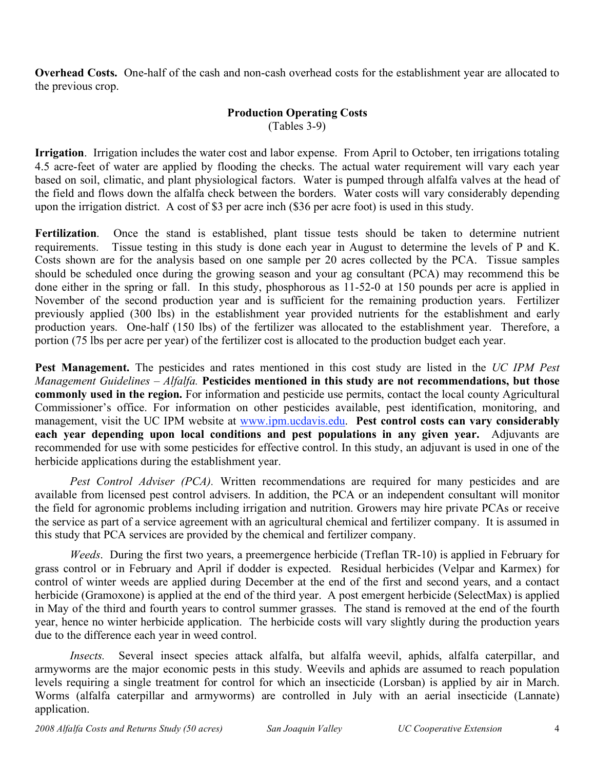**Overhead Costs.** One-half of the cash and non-cash overhead costs for the establishment year are allocated to the previous crop.

# **Production Operating Costs**

(Tables 3-9)

**Irrigation**. Irrigation includes the water cost and labor expense. From April to October, ten irrigations totaling 4.5 acre-feet of water are applied by flooding the checks. The actual water requirement will vary each year based on soil, climatic, and plant physiological factors. Water is pumped through alfalfa valves at the head of the field and flows down the alfalfa check between the borders. Water costs will vary considerably depending upon the irrigation district. A cost of \$3 per acre inch (\$36 per acre foot) is used in this study.

**Fertilization**. Once the stand is established, plant tissue tests should be taken to determine nutrient requirements. Tissue testing in this study is done each year in August to determine the levels of P and K. Costs shown are for the analysis based on one sample per 20 acres collected by the PCA. Tissue samples should be scheduled once during the growing season and your ag consultant (PCA) may recommend this be done either in the spring or fall. In this study, phosphorous as 11-52-0 at 150 pounds per acre is applied in November of the second production year and is sufficient for the remaining production years. Fertilizer previously applied (300 lbs) in the establishment year provided nutrients for the establishment and early production years. One-half (150 lbs) of the fertilizer was allocated to the establishment year. Therefore, a portion (75 lbs per acre per year) of the fertilizer cost is allocated to the production budget each year.

**Pest Management.** The pesticides and rates mentioned in this cost study are listed in the *UC IPM Pest Management Guidelines – Alfalfa.* **Pesticides mentioned in this study are not recommendations, but those commonly used in the region.** For information and pesticide use permits, contact the local county Agricultural Commissioner's office. For information on other pesticides available, pest identification, monitoring, and management, visit the UC IPM website at www.ipm.ucdavis.edu. **Pest control costs can vary considerably each year depending upon local conditions and pest populations in any given year.** Adjuvants are recommended for use with some pesticides for effective control. In this study, an adjuvant is used in one of the herbicide applications during the establishment year.

*Pest Control Adviser (PCA).* Written recommendations are required for many pesticides and are available from licensed pest control advisers. In addition, the PCA or an independent consultant will monitor the field for agronomic problems including irrigation and nutrition. Growers may hire private PCAs or receive the service as part of a service agreement with an agricultural chemical and fertilizer company. It is assumed in this study that PCA services are provided by the chemical and fertilizer company.

*Weeds*. During the first two years, a preemergence herbicide (Treflan TR-10) is applied in February for grass control or in February and April if dodder is expected. Residual herbicides (Velpar and Karmex) for control of winter weeds are applied during December at the end of the first and second years, and a contact herbicide (Gramoxone) is applied at the end of the third year. A post emergent herbicide (SelectMax) is applied in May of the third and fourth years to control summer grasses. The stand is removed at the end of the fourth year, hence no winter herbicide application. The herbicide costs will vary slightly during the production years due to the difference each year in weed control.

*Insects.* Several insect species attack alfalfa, but alfalfa weevil, aphids, alfalfa caterpillar, and armyworms are the major economic pests in this study. Weevils and aphids are assumed to reach population levels requiring a single treatment for control for which an insecticide (Lorsban) is applied by air in March. Worms (alfalfa caterpillar and armyworms) are controlled in July with an aerial insecticide (Lannate) application.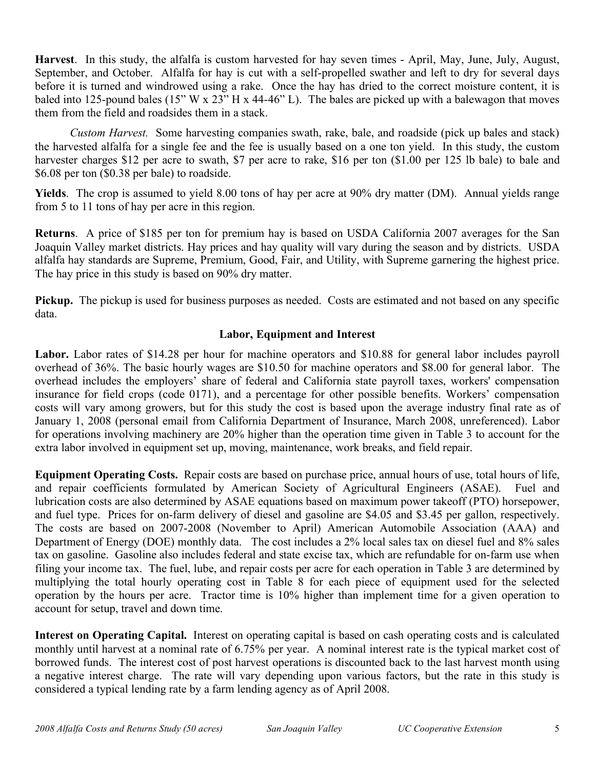**Harvest**. In this study, the alfalfa is custom harvested for hay seven times - April, May, June, July, August, September, and October. Alfalfa for hay is cut with a self-propelled swather and left to dry for several days before it is turned and windrowed using a rake. Once the hay has dried to the correct moisture content, it is baled into 125-pound bales (15" W x 23" H x 44-46" L). The bales are picked up with a balewagon that moves them from the field and roadsides them in a stack.

*Custom Harvest.* Some harvesting companies swath, rake, bale, and roadside (pick up bales and stack) the harvested alfalfa for a single fee and the fee is usually based on a one ton yield. In this study, the custom harvester charges \$12 per acre to swath, \$7 per acre to rake, \$16 per ton (\$1.00 per 125 lb bale) to bale and \$6.08 per ton (\$0.38 per bale) to roadside.

**Yields**. The crop is assumed to yield 8.00 tons of hay per acre at 90% dry matter (DM). Annual yields range from 5 to 11 tons of hay per acre in this region.

**Returns**. A price of \$185 per ton for premium hay is based on USDA California 2007 averages for the San Joaquin Valley market districts. Hay prices and hay quality will vary during the season and by districts. USDA alfalfa hay standards are Supreme, Premium, Good, Fair, and Utility, with Supreme garnering the highest price. The hay price in this study is based on 90% dry matter.

**Pickup.** The pickup is used for business purposes as needed. Costs are estimated and not based on any specific data.

# **Labor, Equipment and Interest**

**Labor.** Labor rates of \$14.28 per hour for machine operators and \$10.88 for general labor includes payroll overhead of 36%. The basic hourly wages are \$10.50 for machine operators and \$8.00 for general labor. The overhead includes the employers' share of federal and California state payroll taxes, workers' compensation insurance for field crops (code 0171), and a percentage for other possible benefits. Workers' compensation costs will vary among growers, but for this study the cost is based upon the average industry final rate as of January 1, 2008 (personal email from California Department of Insurance, March 2008, unreferenced). Labor for operations involving machinery are 20% higher than the operation time given in Table 3 to account for the extra labor involved in equipment set up, moving, maintenance, work breaks, and field repair.

**Equipment Operating Costs.** Repair costs are based on purchase price, annual hours of use, total hours of life, and repair coefficients formulated by American Society of Agricultural Engineers (ASAE). Fuel and lubrication costs are also determined by ASAE equations based on maximum power takeoff (PTO) horsepower, and fuel type. Prices for on-farm delivery of diesel and gasoline are \$4.05 and \$3.45 per gallon, respectively. The costs are based on 2007-2008 (November to April) American Automobile Association (AAA) and Department of Energy (DOE) monthly data. The cost includes a 2% local sales tax on diesel fuel and 8% sales tax on gasoline. Gasoline also includes federal and state excise tax, which are refundable for on-farm use when filing your income tax. The fuel, lube, and repair costs per acre for each operation in Table 3 are determined by multiplying the total hourly operating cost in Table 8 for each piece of equipment used for the selected operation by the hours per acre. Tractor time is 10% higher than implement time for a given operation to account for setup, travel and down time.

**Interest on Operating Capital.** Interest on operating capital is based on cash operating costs and is calculated monthly until harvest at a nominal rate of 6.75% per year. A nominal interest rate is the typical market cost of borrowed funds. The interest cost of post harvest operations is discounted back to the last harvest month using a negative interest charge. The rate will vary depending upon various factors, but the rate in this study is considered a typical lending rate by a farm lending agency as of April 2008.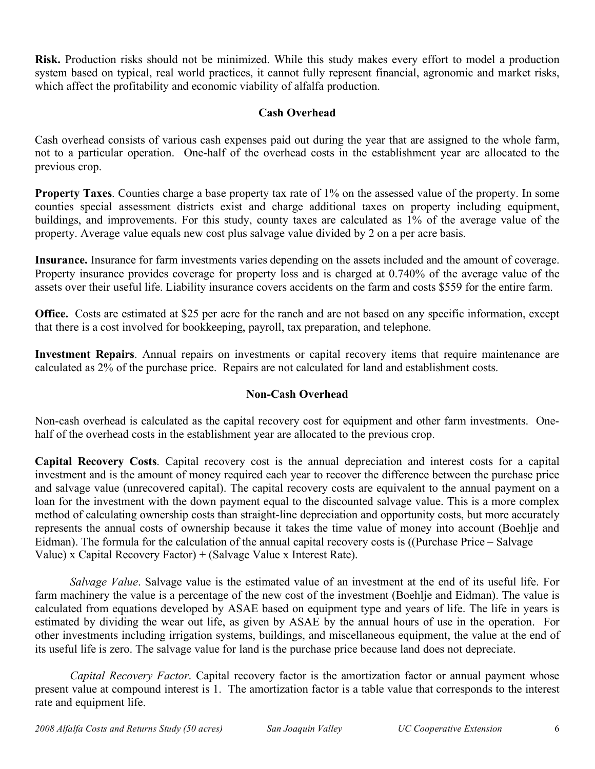**Risk.** Production risks should not be minimized. While this study makes every effort to model a production system based on typical, real world practices, it cannot fully represent financial, agronomic and market risks, which affect the profitability and economic viability of alfalfa production.

# **Cash Overhead**

Cash overhead consists of various cash expenses paid out during the year that are assigned to the whole farm, not to a particular operation. One-half of the overhead costs in the establishment year are allocated to the previous crop.

**Property Taxes**. Counties charge a base property tax rate of 1% on the assessed value of the property. In some counties special assessment districts exist and charge additional taxes on property including equipment, buildings, and improvements. For this study, county taxes are calculated as 1% of the average value of the property. Average value equals new cost plus salvage value divided by 2 on a per acre basis.

**Insurance.** Insurance for farm investments varies depending on the assets included and the amount of coverage. Property insurance provides coverage for property loss and is charged at 0.740% of the average value of the assets over their useful life. Liability insurance covers accidents on the farm and costs \$559 for the entire farm.

**Office.** Costs are estimated at \$25 per acre for the ranch and are not based on any specific information, except that there is a cost involved for bookkeeping, payroll, tax preparation, and telephone.

**Investment Repairs**. Annual repairs on investments or capital recovery items that require maintenance are calculated as 2% of the purchase price. Repairs are not calculated for land and establishment costs.

# **Non-Cash Overhead**

Non-cash overhead is calculated as the capital recovery cost for equipment and other farm investments. Onehalf of the overhead costs in the establishment year are allocated to the previous crop.

**Capital Recovery Costs**. Capital recovery cost is the annual depreciation and interest costs for a capital investment and is the amount of money required each year to recover the difference between the purchase price and salvage value (unrecovered capital). The capital recovery costs are equivalent to the annual payment on a loan for the investment with the down payment equal to the discounted salvage value. This is a more complex method of calculating ownership costs than straight-line depreciation and opportunity costs, but more accurately represents the annual costs of ownership because it takes the time value of money into account (Boehlje and Eidman). The formula for the calculation of the annual capital recovery costs is ((Purchase Price – Salvage Value) x Capital Recovery Factor) + (Salvage Value x Interest Rate).

*Salvage Value*. Salvage value is the estimated value of an investment at the end of its useful life. For farm machinery the value is a percentage of the new cost of the investment (Boehlje and Eidman). The value is calculated from equations developed by ASAE based on equipment type and years of life. The life in years is estimated by dividing the wear out life, as given by ASAE by the annual hours of use in the operation. For other investments including irrigation systems, buildings, and miscellaneous equipment, the value at the end of its useful life is zero. The salvage value for land is the purchase price because land does not depreciate.

*Capital Recovery Factor*. Capital recovery factor is the amortization factor or annual payment whose present value at compound interest is 1. The amortization factor is a table value that corresponds to the interest rate and equipment life.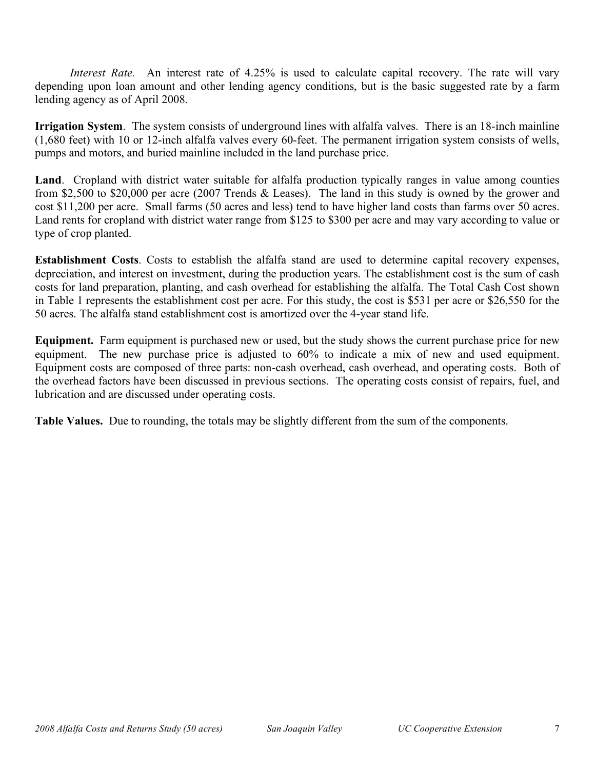*Interest Rate.* An interest rate of 4.25% is used to calculate capital recovery. The rate will vary depending upon loan amount and other lending agency conditions, but is the basic suggested rate by a farm lending agency as of April 2008.

**Irrigation System**. The system consists of underground lines with alfalfa valves. There is an 18-inch mainline (1,680 feet) with 10 or 12-inch alfalfa valves every 60-feet. The permanent irrigation system consists of wells, pumps and motors, and buried mainline included in the land purchase price.

**Land**. Cropland with district water suitable for alfalfa production typically ranges in value among counties from \$2,500 to \$20,000 per acre (2007 Trends & Leases). The land in this study is owned by the grower and cost \$11,200 per acre. Small farms (50 acres and less) tend to have higher land costs than farms over 50 acres. Land rents for cropland with district water range from \$125 to \$300 per acre and may vary according to value or type of crop planted.

**Establishment Costs**. Costs to establish the alfalfa stand are used to determine capital recovery expenses, depreciation, and interest on investment, during the production years. The establishment cost is the sum of cash costs for land preparation, planting, and cash overhead for establishing the alfalfa. The Total Cash Cost shown in Table 1 represents the establishment cost per acre. For this study, the cost is \$531 per acre or \$26,550 for the 50 acres. The alfalfa stand establishment cost is amortized over the 4-year stand life.

**Equipment.** Farm equipment is purchased new or used, but the study shows the current purchase price for new equipment. The new purchase price is adjusted to 60% to indicate a mix of new and used equipment. Equipment costs are composed of three parts: non-cash overhead, cash overhead, and operating costs. Both of the overhead factors have been discussed in previous sections. The operating costs consist of repairs, fuel, and lubrication and are discussed under operating costs.

**Table Values.** Due to rounding, the totals may be slightly different from the sum of the components.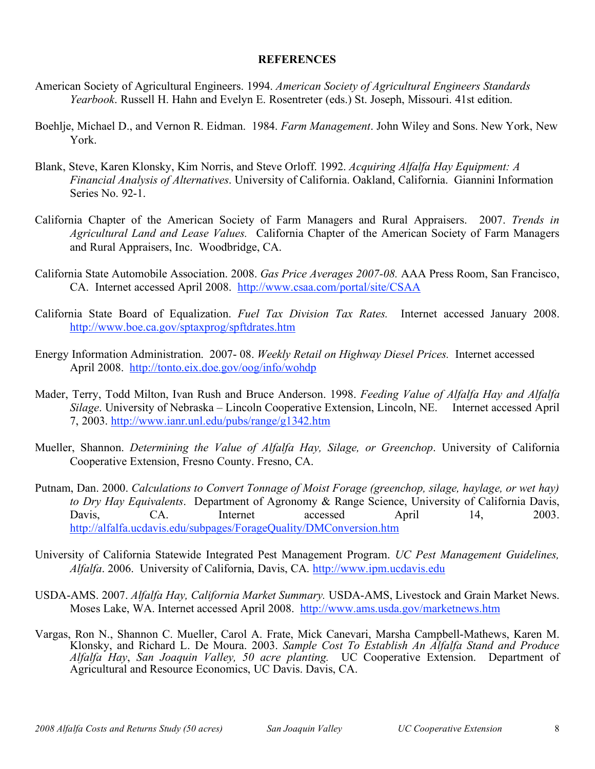### **REFERENCES**

- American Society of Agricultural Engineers. 1994. *American Society of Agricultural Engineers Standards Yearbook*. Russell H. Hahn and Evelyn E. Rosentreter (eds.) St. Joseph, Missouri. 41st edition.
- Boehlje, Michael D., and Vernon R. Eidman. 1984. *Farm Management*. John Wiley and Sons. New York, New York.
- Blank, Steve, Karen Klonsky, Kim Norris, and Steve Orloff. 1992. *Acquiring Alfalfa Hay Equipment: A Financial Analysis of Alternatives*. University of California. Oakland, California. Giannini Information Series No. 92-1.
- California Chapter of the American Society of Farm Managers and Rural Appraisers. 2007. *Trends in Agricultural Land and Lease Values.* California Chapter of the American Society of Farm Managers and Rural Appraisers, Inc. Woodbridge, CA.
- California State Automobile Association. 2008. *Gas Price Averages 2007-08.* AAA Press Room, San Francisco, CA. Internet accessed April 2008. http://www.csaa.com/portal/site/CSAA
- California State Board of Equalization. *Fuel Tax Division Tax Rates.* Internet accessed January 2008. http://www.boe.ca.gov/sptaxprog/spftdrates.htm
- Energy Information Administration. 2007- 08. *Weekly Retail on Highway Diesel Prices.* Internet accessed April 2008. http://tonto.eix.doe.gov/oog/info/wohdp
- Mader, Terry, Todd Milton, Ivan Rush and Bruce Anderson. 1998. *Feeding Value of Alfalfa Hay and Alfalfa Silage*. University of Nebraska – Lincoln Cooperative Extension, Lincoln, NE. Internet accessed April 7, 2003. http://www.ianr.unl.edu/pubs/range/g1342.htm
- Mueller, Shannon. *Determining the Value of Alfalfa Hay, Silage, or Greenchop*. University of California Cooperative Extension, Fresno County. Fresno, CA.
- Putnam, Dan. 2000. *Calculations to Convert Tonnage of Moist Forage (greenchop, silage, haylage, or wet hay) to Dry Hay Equivalents*. Department of Agronomy & Range Science, University of California Davis, Davis, CA. Internet accessed April 14, 2003. http://alfalfa.ucdavis.edu/subpages/ForageQuality/DMConversion.htm
- University of California Statewide Integrated Pest Management Program. *UC Pest Management Guidelines, Alfalfa*. 2006. University of California, Davis, CA. http://www.ipm.ucdavis.edu
- USDA-AMS. 2007. *Alfalfa Hay, California Market Summary.* USDA-AMS, Livestock and Grain Market News. Moses Lake, WA. Internet accessed April 2008. http://www.ams.usda.gov/marketnews.htm
- Vargas, Ron N., Shannon C. Mueller, Carol A. Frate, Mick Canevari, Marsha Campbell-Mathews, Karen M. Klonsky, and Richard L. De Moura. 2003. *Sample Cost To Establish An Alfalfa Stand and Produce Alfalfa Hay*, *San Joaquin Valley, 50 acre planting.* UC Cooperative Extension. Department of Agricultural and Resource Economics, UC Davis. Davis, CA.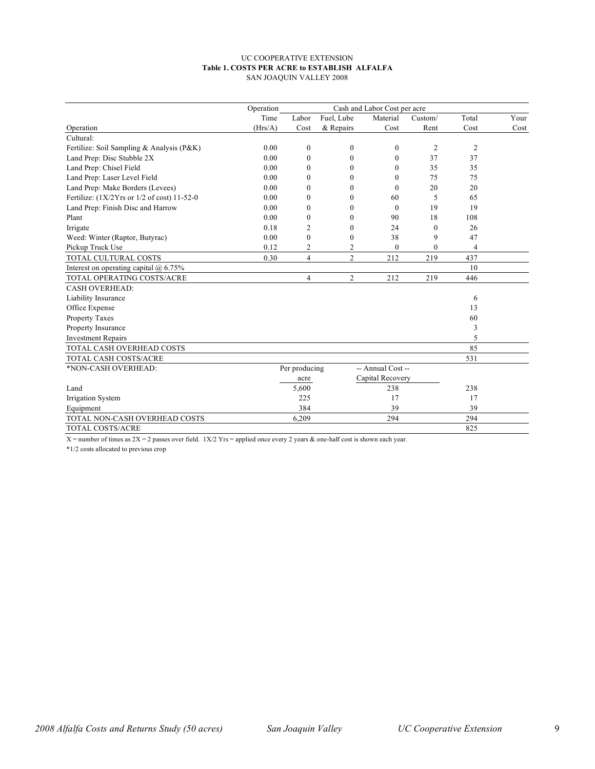#### UC COOPERATIVE EXTENSION **Table 1. COSTS PER ACRE to ESTABLISH ALFALFA** SAN JOAQUIN VALLEY 2008

|                                             | Operation |                  |                |                   |                |                |      |
|---------------------------------------------|-----------|------------------|----------------|-------------------|----------------|----------------|------|
|                                             | Time      | Labor            | Fuel, Lube     | Material          | Custom/        | Total          | Your |
| Operation                                   | (Hrs/A)   | Cost             | & Repairs      | Cost              | Rent           | Cost           | Cost |
| Cultural:                                   |           |                  |                |                   |                |                |      |
| Fertilize: Soil Sampling & Analysis (P&K)   | 0.00      | $\boldsymbol{0}$ | $\mathbf{0}$   | $\mathbf{0}$      | $\overline{2}$ | $\overline{2}$ |      |
| Land Prep: Disc Stubble 2X                  | 0.00      | $\mathbf{0}$     | $\theta$       | $\theta$          | 37             | 37             |      |
| Land Prep: Chisel Field                     | 0.00      | $\mathbf{0}$     | $\theta$       | $\Omega$          | 35             | 35             |      |
| Land Prep: Laser Level Field                | 0.00      | $\Omega$         | 0              | 0                 | 75             | 75             |      |
| Land Prep: Make Borders (Levees)            | 0.00      | $\theta$         | $\theta$       | $\theta$          | 20             | 20             |      |
| Fertilize: (1X/2Yrs or 1/2 of cost) 11-52-0 | 0.00      | $\mathbf{0}$     | $\theta$       | 60                | 5              | 65             |      |
| Land Prep: Finish Disc and Harrow           | 0.00      | $\mathbf{0}$     | $\theta$       | $\mathbf{0}$      | 19             | 19             |      |
| Plant                                       | 0.00      | $\theta$         | 0              | 90                | 18             | 108            |      |
| Irrigate                                    | 0.18      | $\overline{c}$   | $\theta$       | 24                | $\Omega$       | 26             |      |
| Weed: Winter (Raptor, Butyrac)              | 0.00      | $\theta$         | $\theta$       | 38                | 9              | 47             |      |
| Pickup Truck Use                            | 0.12      | $\overline{c}$   | 2              | $\mathbf{0}$      | $\theta$       | 4              |      |
| <b>TOTAL CULTURAL COSTS</b>                 | 0.30      | $\overline{4}$   | $\overline{c}$ | 212               | 219            | 437            |      |
| Interest on operating capital $(a)$ 6.75%   |           |                  |                |                   |                | 10             |      |
| TOTAL OPERATING COSTS/ACRE                  |           | $\overline{4}$   | 2              | 212               | 219            | 446            |      |
| <b>CASH OVERHEAD:</b>                       |           |                  |                |                   |                |                |      |
| Liability Insurance                         |           |                  |                |                   |                | 6              |      |
| Office Expense                              |           |                  |                |                   |                | 13             |      |
| Property Taxes                              |           |                  |                |                   |                | 60             |      |
| Property Insurance                          |           |                  |                |                   |                | 3              |      |
| <b>Investment Repairs</b>                   |           |                  |                |                   |                | 5              |      |
| TOTAL CASH OVERHEAD COSTS                   |           |                  |                |                   |                | 85             |      |
| TOTAL CASH COSTS/ACRE                       |           |                  |                |                   |                | 531            |      |
| *NON-CASH OVERHEAD:                         |           | Per producing    |                | -- Annual Cost -- |                |                |      |
|                                             |           | acre             |                | Capital Recovery  |                |                |      |
| Land                                        |           | 5,600            |                | 238               |                | 238            |      |
| Irrigation System                           |           | 225              |                | 17                |                | 17             |      |
| Equipment                                   |           | 384              |                | 39                |                | 39             |      |
| TOTAL NON-CASH OVERHEAD COSTS               |           | 6,209            |                | 294               |                | 294            |      |
| TOTAL COSTS/ACRE                            |           |                  |                |                   |                | 825            |      |

 $X =$ number of times as  $2X = 2$  passes over field.  $1X/2$  Yrs = applied once every 2 years & one-half cost is shown each year.

\*1/2 costs allocated to previous crop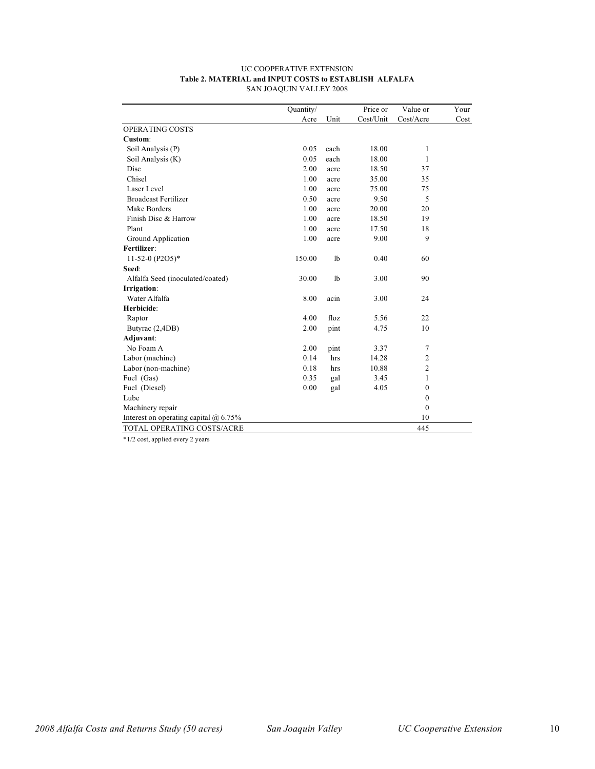#### UC COOPERATIVE EXTENSION **Table 2. MATERIAL and INPUT COSTS to ESTABLISH ALFALFA** SAN JOAQUIN VALLEY 2008

|                                              | Quantity/ |                | Price or  | Value or       | Your |
|----------------------------------------------|-----------|----------------|-----------|----------------|------|
|                                              | Acre      | Unit           | Cost/Unit | Cost/Acre      | Cost |
| OPERATING COSTS                              |           |                |           |                |      |
| Custom:                                      |           |                |           |                |      |
| Soil Analysis (P)                            | 0.05      | each           | 18.00     | 1              |      |
| Soil Analysis (K)                            | 0.05      | each           | 18.00     | 1              |      |
| Disc                                         | 2.00      | acre           | 18.50     | 37             |      |
| Chisel                                       | 1.00      | acre           | 35.00     | 35             |      |
| Laser Level                                  | 1.00      | acre           | 75.00     | 75             |      |
| <b>Broadcast Fertilizer</b>                  | 0.50      | acre           | 9.50      | 5              |      |
| Make Borders                                 | 1.00      | acre           | 20.00     | 20             |      |
| Finish Disc & Harrow                         | 1.00      | acre           | 18.50     | 19             |      |
| Plant                                        | 1.00      | acre           | 17.50     | 18             |      |
| Ground Application                           | 1.00      | acre           | 9.00      | 9              |      |
| Fertilizer:                                  |           |                |           |                |      |
| 11-52-0 (P2O5)*                              | 150.00    | 1 <sub>b</sub> | 0.40      | 60             |      |
| Seed:                                        |           |                |           |                |      |
| Alfalfa Seed (inoculated/coated)             | 30.00     | 1 <sub>b</sub> | 3.00      | 90             |      |
| Irrigation:                                  |           |                |           |                |      |
| Water Alfalfa                                | 8.00      | acin           | 3.00      | 24             |      |
| Herbicide:                                   |           |                |           |                |      |
| Raptor                                       | 4.00      | floz           | 5.56      | 22             |      |
| Butyrac (2,4DB)                              | 2.00      | pint           | 4.75      | 10             |      |
| Adjuvant:                                    |           |                |           |                |      |
| No Foam A                                    | 2.00      | pint           | 3.37      | 7              |      |
| Labor (machine)                              | 0.14      | hrs            | 14.28     | $\mathfrak{2}$ |      |
| Labor (non-machine)                          | 0.18      | hrs            | 10.88     | $\overline{c}$ |      |
| Fuel (Gas)                                   | 0.35      | gal            | 3.45      | 1              |      |
| Fuel (Diesel)                                | 0.00      | gal            | 4.05      | $\mathbf{0}$   |      |
| Lube                                         |           |                |           | $\mathbf{0}$   |      |
| Machinery repair                             |           |                |           | $\theta$       |      |
| Interest on operating capital $\omega$ 6.75% |           |                |           | 10             |      |
| TOTAL OPERATING COSTS/ACRE                   |           |                |           | 445            |      |

\*1/2 cost, applied every 2 years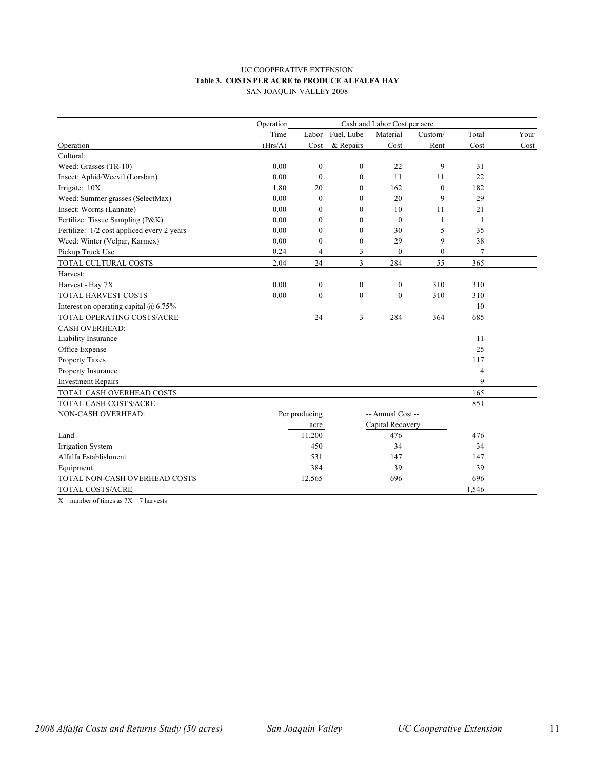#### UC COOPERATIVE EXTENSION **Table 3. COSTS PER ACRE to PRODUCE ALFALFA HAY** SAN JOAQUIN VALLEY 2008

|                                              | Operation |                          |                  | Cash and Labor Cost per acre |                  |                |      |
|----------------------------------------------|-----------|--------------------------|------------------|------------------------------|------------------|----------------|------|
|                                              | Time      |                          | Labor Fuel, Lube | Material                     | Custom/          | Total          | Your |
| Operation                                    | (Hrs/A)   | Cost                     | & Repairs        | Cost                         | Rent             | Cost           | Cost |
| Cultural:                                    |           |                          |                  |                              |                  |                |      |
| Weed: Grasses (TR-10)                        | 0.00      | $\mathbf{0}$             | $\mathbf{0}$     | 22                           | 9                | 31             |      |
| Insect: Aphid/Weevil (Lorsban)               | 0.00      | $\theta$                 | $\mathbf{0}$     | 11                           | 11               | 22             |      |
| Irrigate: 10X                                | 1.80      | 20                       | $\mathbf{0}$     | 162                          | $\boldsymbol{0}$ | 182            |      |
| Weed: Summer grasses (SelectMax)             | 0.00      | $\theta$                 | $\Omega$         | 20                           | 9                | 29             |      |
| Insect: Worms (Lannate)                      | 0.00      | $\mathbf{0}$             | $\mathbf{0}$     | 10                           | 11               | 21             |      |
| Fertilize: Tissue Sampling (P&K)             | 0.00      | $\mathbf{0}$             | $\mathbf{0}$     | $\mathbf{0}$                 | 1                | $\mathbf{1}$   |      |
| Fertilize: 1/2 cost appliced every 2 years   | 0.00      | $\theta$                 | $\theta$         | 30                           | 5                | 35             |      |
| Weed: Winter (Velpar, Karmex)                | 0.00      | $\mathbf{0}$             | $\boldsymbol{0}$ | 29                           | 9                | 38             |      |
| Pickup Truck Use                             | 0.24      | 4                        | 3                | $\mathbf{0}$                 | $\mathbf{0}$     | 7              |      |
| TOTAL CULTURAL COSTS                         | 2.04      | 24                       | 3                | 284                          | 55               | 365            |      |
| Harvest:                                     |           |                          |                  |                              |                  |                |      |
| Harvest - Hay 7X                             | 0.00      | $\mathbf{0}$             | $\mathbf{0}$     | $\boldsymbol{0}$             | 310              | 310            |      |
| TOTAL HARVEST COSTS                          | 0.00      | $\mathbf{0}$             | $\overline{0}$   | $\overline{0}$               | 310              | 310            |      |
| Interest on operating capital $\omega$ 6.75% |           |                          |                  |                              |                  | 10             |      |
| TOTAL OPERATING COSTS/ACRE                   |           | 24                       | 3                | 284                          | 364              | 685            |      |
| <b>CASH OVERHEAD:</b>                        |           |                          |                  |                              |                  |                |      |
| Liability Insurance                          |           |                          |                  |                              |                  | 11             |      |
| Office Expense                               |           |                          |                  |                              |                  | 25             |      |
| Property Taxes                               |           |                          |                  |                              |                  | 117            |      |
| Property Insurance                           |           |                          |                  |                              |                  | $\overline{4}$ |      |
| <b>Investment Repairs</b>                    |           |                          |                  |                              |                  | 9              |      |
| TOTAL CASH OVERHEAD COSTS                    |           |                          |                  |                              |                  | 165            |      |
| TOTAL CASH COSTS/ACRE                        |           |                          |                  |                              |                  | 851            |      |
| NON-CASH OVERHEAD:                           |           | Per producing            |                  | -- Annual Cost --            |                  |                |      |
|                                              |           | Capital Recovery<br>acre |                  |                              |                  |                |      |
| Land                                         |           | 11,200                   |                  | 476                          |                  | 476            |      |
| Irrigation System                            |           | 450                      |                  | 34                           |                  | 34             |      |
| Alfalfa Establishment                        |           | 531                      |                  | 147                          |                  | 147            |      |
| Equipment                                    |           | 384                      |                  | 39                           |                  | 39             |      |
| TOTAL NON-CASH OVERHEAD COSTS                |           | 12,565                   |                  | 696                          |                  | 696            |      |
| TOTAL COSTS/ACRE                             |           |                          |                  |                              |                  | 1,546          |      |

 $X =$  number of times as  $7X = 7$  harvests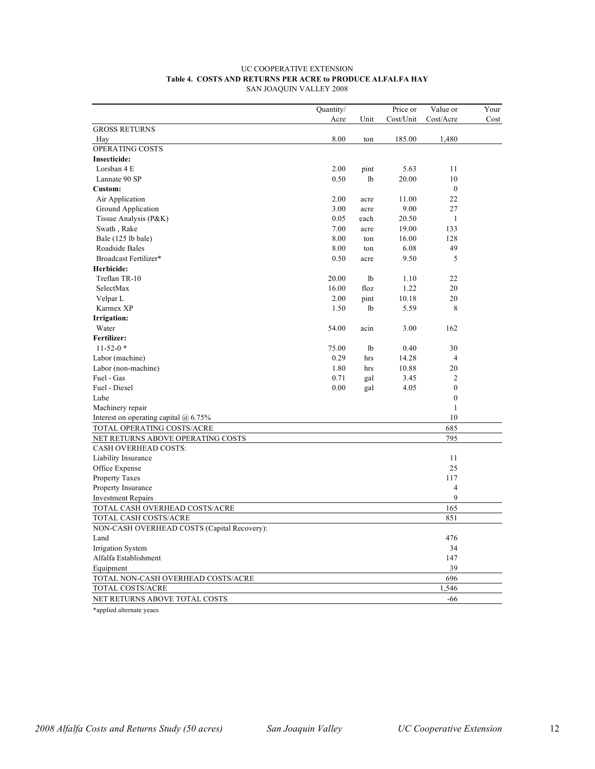#### UC COOPERATIVE EXTENSION **Table 4. COSTS AND RETURNS PER ACRE to PRODUCE ALFALFA HAY** SAN JOAQUIN VALLEY 2008

|                                             | Quantity/ |                | Price or  | Value or         | Your |
|---------------------------------------------|-----------|----------------|-----------|------------------|------|
|                                             | Acre      | Unit           | Cost/Unit | Cost/Acre        | Cost |
| <b>GROSS RETURNS</b>                        |           |                |           |                  |      |
| Hay                                         | 8.00      | ton            | 185.00    | 1,480            |      |
| OPERATING COSTS                             |           |                |           |                  |      |
| Insecticide:                                |           |                |           |                  |      |
| Lorsban 4 E                                 | 2.00      | pint           | 5.63      | 11               |      |
| Lannate 90 SP                               | 0.50      | 1b             | 20.00     | 10               |      |
| Custom:                                     |           |                |           | $\mathbf{0}$     |      |
| Air Application                             | 2.00      | acre           | 11.00     | 22               |      |
| Ground Application                          | 3.00      | acre           | 9.00      | 27               |      |
| Tissue Analysis (P&K)                       | 0.05      | each           | 20.50     | 1                |      |
| Swath, Rake                                 | 7.00      | acre           | 19.00     | 133              |      |
| Bale (125 lb bale)                          | 8.00      | ton            | 16.00     | 128              |      |
| Roadside Bales                              | 8.00      | ton            | 6.08      | 49               |      |
| Broadcast Fertilizer*                       | 0.50      | acre           | 9.50      | 5                |      |
| Herbicide:                                  |           |                |           |                  |      |
| Treflan TR-10                               | 20.00     | 1b             | 1.10      | 22               |      |
| SelectMax                                   | 16.00     | floz           | 1.22      | 20               |      |
| Velpar L                                    | 2.00      | pint           | 10.18     | 20               |      |
| Karmex XP                                   | 1.50      | 1b             | 5.59      | 8                |      |
| Irrigation:                                 |           |                |           |                  |      |
| Water                                       | 54.00     | acin           | 3.00      | 162              |      |
| Fertilizer:                                 |           |                |           |                  |      |
| $11 - 52 - 0$ *                             | 75.00     | 1 <sub>b</sub> | 0.40      | 30               |      |
| Labor (machine)                             | 0.29      | hrs            | 14.28     | $\overline{4}$   |      |
| Labor (non-machine)                         | 1.80      | hrs            | 10.88     | 20               |      |
| Fuel - Gas                                  | 0.71      | gal            | 3.45      | $\overline{2}$   |      |
| Fuel - Diesel                               | 0.00      | gal            | 4.05      | $\boldsymbol{0}$ |      |
| Lube                                        |           |                |           | $\mathbf{0}$     |      |
| Machinery repair                            |           |                |           | 1                |      |
| Interest on operating capital $(a)$ 6.75%   |           |                |           | 10               |      |
| TOTAL OPERATING COSTS/ACRE                  |           |                |           | 685              |      |
| NET RETURNS ABOVE OPERATING COSTS           |           |                |           | 795              |      |
| <b>CASH OVERHEAD COSTS:</b>                 |           |                |           |                  |      |
| Liability Insurance                         |           |                |           | 11               |      |
| Office Expense                              |           |                |           | 25               |      |
| <b>Property Taxes</b>                       |           |                |           | 117              |      |
| Property Insurance                          |           |                |           | 4                |      |
| <b>Investment Repairs</b>                   |           |                |           | 9                |      |
| TOTAL CASH OVERHEAD COSTS/ACRE              |           |                |           | 165              |      |
| TOTAL CASH COSTS/ACRE                       |           |                |           | 851              |      |
| NON-CASH OVERHEAD COSTS (Capital Recovery): |           |                |           |                  |      |
| Land                                        |           |                |           | 476              |      |
| Irrigation System                           |           |                |           | 34               |      |
| Alfalfa Establishment                       |           |                |           | 147              |      |
| Equipment                                   |           |                |           | 39               |      |
| TOTAL NON-CASH OVERHEAD COSTS/ACRE          |           |                |           | 696              |      |
| TOTAL COSTS/ACRE                            |           |                |           | 1,546            |      |
| NET RETURNS ABOVE TOTAL COSTS               |           |                |           | $-66$            |      |

\*applied alternate yeaes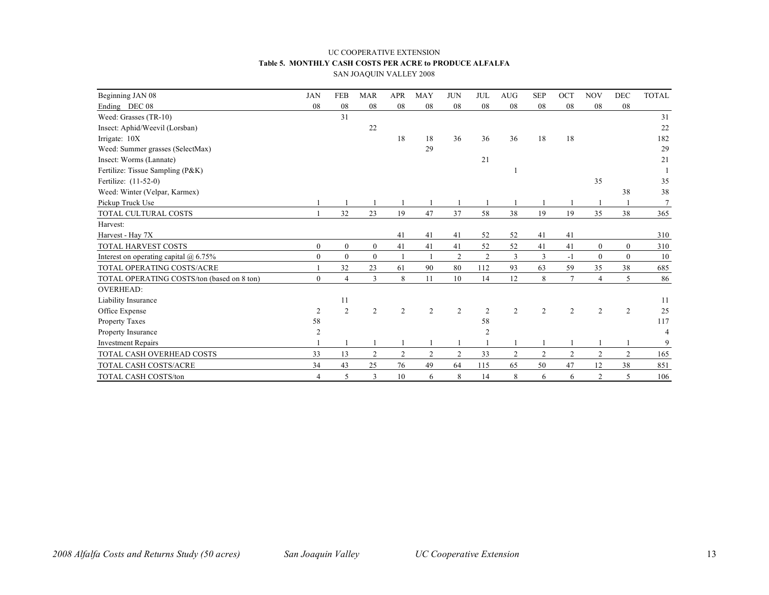#### UC COOPERATIVE EXTENSION **Table 5. MONTHLY CASH COSTS PER ACRE to PRODUCE ALFALFA** SAN JOAQUIN VALLEY 2008

| Beginning JAN 08                           | <b>JAN</b>     | <b>FEB</b>       | <b>MAR</b>       | <b>APR</b>     | <b>MAY</b>     | <b>JUN</b>     | <b>JUL</b>     | <b>AUG</b>       | <b>SEP</b>     | OCT            | <b>NOV</b>       | DEC            | <b>TOTAL</b> |
|--------------------------------------------|----------------|------------------|------------------|----------------|----------------|----------------|----------------|------------------|----------------|----------------|------------------|----------------|--------------|
| Ending DEC 08                              | 08             | 08               | 08               | 08             | 08             | 08             | 08             | 08               | 08             | 08             | 08               | 08             |              |
| Weed: Grasses (TR-10)                      |                | 31               |                  |                |                |                |                |                  |                |                |                  |                | 31           |
| Insect: Aphid/Weevil (Lorsban)             |                |                  | 22               |                |                |                |                |                  |                |                |                  |                | 22           |
| Irrigate: 10X                              |                |                  |                  | 18             | 18             | 36             | 36             | 36               | 18             | 18             |                  |                | 182          |
| Weed: Summer grasses (SelectMax)           |                |                  |                  |                | 29             |                |                |                  |                |                |                  |                | 29           |
| Insect: Worms (Lannate)                    |                |                  |                  |                |                |                | 21             |                  |                |                |                  |                | 21           |
| Fertilize: Tissue Sampling (P&K)           |                |                  |                  |                |                |                |                |                  |                |                |                  |                |              |
| Fertilize: (11-52-0)                       |                |                  |                  |                |                |                |                |                  |                |                | 35               |                | 35           |
| Weed: Winter (Velpar, Karmex)              |                |                  |                  |                |                |                |                |                  |                |                |                  | 38             | 38           |
| Pickup Truck Use                           |                |                  |                  |                |                |                |                |                  |                |                |                  |                |              |
| TOTAL CULTURAL COSTS                       |                | 32               | 23               | 19             | 47             | 37             | 58             | 38               | 19             | 19             | 35               | 38             | 365          |
| Harvest:                                   |                |                  |                  |                |                |                |                |                  |                |                |                  |                |              |
| Harvest - Hay 7X                           |                |                  |                  | 41             | 41             | 41             | 52             | 52               | 41             | 41             |                  |                | 310          |
| TOTAL HARVEST COSTS                        | $\theta$       | $\boldsymbol{0}$ | $\boldsymbol{0}$ | 41             | 41             | 41             | 52             | 52               | 41             | 41             | $\boldsymbol{0}$ | $\theta$       | 310          |
| Interest on operating capital $(a)$ 6.75%  | $\theta$       | $\mathbf{0}$     | $\boldsymbol{0}$ |                |                | $\overline{c}$ | $\overline{2}$ | 3                | 3              | $-1$           | $\overline{0}$   | $\theta$       | 10           |
| TOTAL OPERATING COSTS/ACRE                 |                | 32               | 23               | 61             | 90             | 80             | 112            | 93               | 63             | 59             | 35               | 38             | 685          |
| TOTAL OPERATING COSTS/ton (based on 8 ton) | $\Omega$       | $\overline{4}$   | 3                | 8              | 11             | 10             | 14             | 12               | 8              | $\overline{7}$ | 4                | 5              | 86           |
| <b>OVERHEAD:</b>                           |                |                  |                  |                |                |                |                |                  |                |                |                  |                |              |
| Liability Insurance                        |                | 11               |                  |                |                |                |                |                  |                |                |                  |                | 11           |
| Office Expense                             | 2              | $\overline{2}$   | $\overline{2}$   | $\overline{2}$ | $\overline{2}$ | $\overline{2}$ | $\overline{2}$ | $\overline{2}$   | $\overline{2}$ | $\overline{c}$ | $\overline{2}$   | 2              | 25           |
| Property Taxes                             | 58             |                  |                  |                |                |                | 58             |                  |                |                |                  |                | 117          |
| Property Insurance                         | $\overline{2}$ |                  |                  |                |                |                | $\overline{2}$ |                  |                |                |                  |                | 4            |
| <b>Investment Repairs</b>                  |                |                  |                  |                |                |                |                |                  |                |                |                  |                | 9            |
| TOTAL CASH OVERHEAD COSTS                  | 33             | 13               | $\sqrt{2}$       | $\overline{c}$ | $\overline{2}$ | $\overline{c}$ | 33             | $\boldsymbol{2}$ | $\overline{c}$ | $\overline{2}$ | $\overline{2}$   | $\overline{c}$ | 165          |
| TOTAL CASH COSTS/ACRE                      | 34             | 43               | 25               | 76             | 49             | 64             | 115            | 65               | 50             | 47             | 12               | 38             | 851          |
| <b>TOTAL CASH COSTS/ton</b>                | $\overline{4}$ | 5                | 3                | 10             | 6              | 8              | 14             | 8                | 6              | 6              | $\overline{2}$   | 5              | 106          |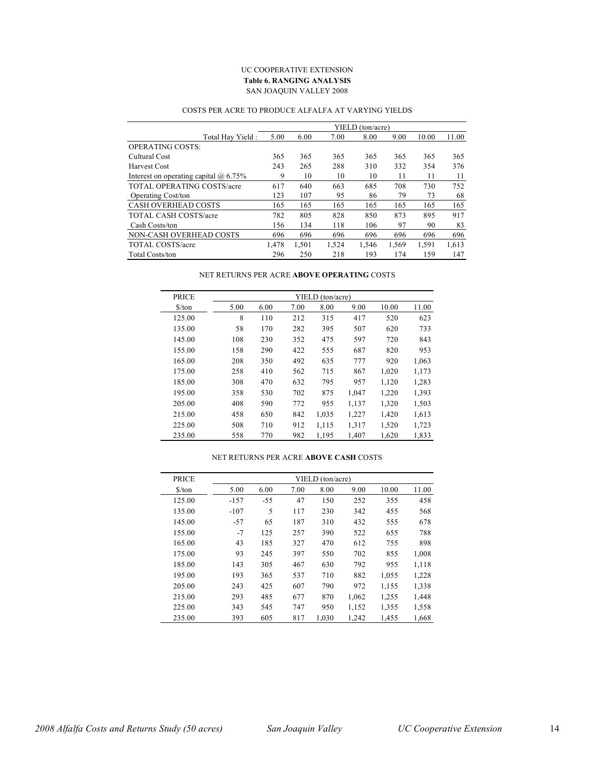#### UC COOPERATIVE EXTENSION **Table 6. RANGING ANALYSIS** SAN JOAQUIN VALLEY 2008

|                                              |       |       |       | YIELD (ton/acre) |       |       |       |
|----------------------------------------------|-------|-------|-------|------------------|-------|-------|-------|
| Total Hay Yield:                             | 5.00  | 6.00  | 7.00  | 8.00             | 9.00  | 10.00 | 11.00 |
| <b>OPERATING COSTS:</b>                      |       |       |       |                  |       |       |       |
| Cultural Cost                                | 365   | 365   | 365   | 365              | 365   | 365   | 365   |
| Harvest Cost                                 | 243   | 265   | 288   | 310              | 332   | 354   | 376   |
| Interest on operating capital $\omega$ 6.75% | 9     | 10    | 10    | 10               | 11    | 11    | 11    |
| <b>TOTAL OPERATING COSTS/acre</b>            | 617   | 640   | 663   | 685              | 708   | 730   | 752   |
| Operating Cost/ton                           | 123   | 107   | 95    | 86               | 79    | 73    | 68    |
| <b>CASH OVERHEAD COSTS</b>                   | 165   | 165   | 165   | 165              | 165   | 165   | 165   |
| <b>TOTAL CASH COSTS/acre</b>                 | 782   | 805   | 828   | 850              | 873   | 895   | 917   |
| Cash Costs/ton                               | 156   | 134   | 118   | 106              | 97    | 90    | 83    |
| NON-CASH OVERHEAD COSTS                      | 696   | 696   | 696   | 696              | 696   | 696   | 696   |
| TOTAL COSTS/acre                             | 1.478 | 1,501 | 1,524 | 1,546            | 1,569 | 1,591 | 1.613 |
| <b>Total Costs/ton</b>                       | 296   | 250   | 218   | 193              | 174   | 159   | 147   |

#### COSTS PER ACRE TO PRODUCE ALFALFA AT VARYING YIELDS

#### NET RETURNS PER ACRE **ABOVE OPERATING** COSTS

| <b>PRICE</b>                  |      |      |      | YIELD (ton/acre) |       |       |       |
|-------------------------------|------|------|------|------------------|-------|-------|-------|
| $\frac{\text{S}}{\text{top}}$ | 5.00 | 6.00 | 7.00 | 8.00             | 9.00  | 10.00 | 11.00 |
| 125.00                        | 8    | 110  | 212  | 315              | 417   | 520   | 623   |
| 135.00                        | 58   | 170  | 282  | 395              | 507   | 620   | 733   |
| 145.00                        | 108  | 230  | 352  | 475              | 597   | 720   | 843   |
| 155.00                        | 158  | 290  | 422  | 555              | 687   | 820   | 953   |
| 165.00                        | 208  | 350  | 492  | 635              | 777   | 920   | 1,063 |
| 175.00                        | 258  | 410  | 562  | 715              | 867   | 1,020 | 1,173 |
| 185.00                        | 308  | 470  | 632  | 795              | 957   | 1,120 | 1,283 |
| 195.00                        | 358  | 530  | 702  | 875              | 1,047 | 1,220 | 1,393 |
| 205.00                        | 408  | 590  | 772  | 955              | 1,137 | 1,320 | 1,503 |
| 215.00                        | 458  | 650  | 842  | 1,035            | 1,227 | 1,420 | 1,613 |
| 225.00                        | 508  | 710  | 912  | 1,115            | 1,317 | 1,520 | 1,723 |
| 235.00                        | 558  | 770  | 982  | 1.195            | 1.407 | 1,620 | 1,833 |

#### PRICE YIELD (ton/acre) \$/ton 5.00 6.00 7.00 8.00 9.00 10.00 11.00 125.00 -157 -55 47 150 252 355 458 135.00 -107 5 117 230 342 455 568 145.00 -57 65 187 310 432 555 678 155.00 -7 125 257 390 522 655 788 165.00 43 185 327 470 612 755 898 175.00 93 245 397 550 702 855 1,008 185.00 143 305 467 630 792 955 1,118 195.00 193 365 537 710 882 1,055 1,228 205.00 243 425 607 790 972 1,155 1,338 215.00 293 485 677 870 1,062 1,255 1,448 225.00 343 545 747 950 1,152 1,355 1,558 235.00 393 605 817 1,030 1,242 1,455 1,668

#### NET RETURNS PER ACRE **ABOVE CASH** COSTS

Ē,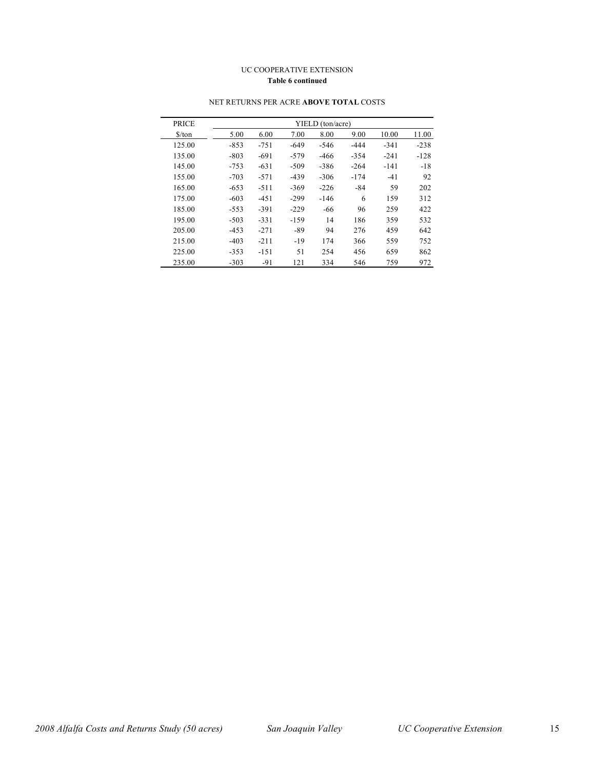#### UC COOPERATIVE EXTENSION **Table 6 continued**

| <b>PRICE</b>                  |        |        |        | YIELD (ton/acre) |        |        |        |
|-------------------------------|--------|--------|--------|------------------|--------|--------|--------|
| $\frac{\text{S}}{\text{ton}}$ | 5.00   | 6.00   | 7.00   | 8.00             | 9.00   | 10.00  | 11.00  |
| 125.00                        | $-853$ | $-751$ | $-649$ | $-546$           | $-444$ | $-341$ | $-238$ |
| 135.00                        | $-803$ | $-691$ | $-579$ | $-466$           | $-354$ | $-241$ | $-128$ |
| 145.00                        | $-753$ | $-631$ | $-509$ | $-386$           | $-264$ | $-141$ | $-18$  |
| 155.00                        | $-703$ | $-571$ | $-439$ | $-306$           | $-174$ | $-41$  | 92     |
| 165.00                        | $-653$ | $-511$ | $-369$ | $-226$           | $-84$  | 59     | 202    |
| 175.00                        | $-603$ | $-451$ | $-299$ | $-146$           | 6      | 159    | 312    |
| 185.00                        | $-553$ | $-391$ | $-229$ | $-66$            | 96     | 259    | 422    |
| 195.00                        | $-503$ | $-331$ | $-159$ | 14               | 186    | 359    | 532    |
| 205.00                        | $-453$ | $-271$ | $-89$  | 94               | 276    | 459    | 642    |
| 215.00                        | $-403$ | $-211$ | $-19$  | 174              | 366    | 559    | 752    |
| 225.00                        | $-353$ | $-151$ | 51     | 254              | 456    | 659    | 862    |
| 235.00                        | $-303$ | $-91$  | 121    | 334              | 546    | 759    | 972    |

#### NET RETURNS PER ACRE **ABOVE TOTAL** COSTS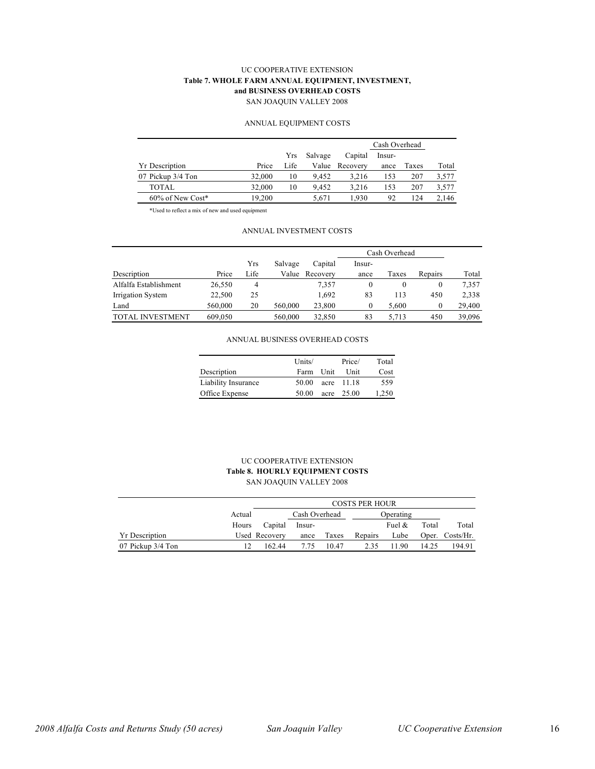#### UC COOPERATIVE EXTENSION **Table 7. WHOLE FARM ANNUAL EQUIPMENT, INVESTMENT, and BUSINESS OVERHEAD COSTS** SAN JOAQUIN VALLEY 2008

#### ANNUAL EQUIPMENT COSTS

|                       |        |      |         |          | Cash Overhead |       |       |
|-----------------------|--------|------|---------|----------|---------------|-------|-------|
|                       |        | Yrs  | Salvage | Capital  | Insur-        |       |       |
| <b>Yr Description</b> | Price  | Life | Value   | Recovery | ance          | Taxes | Total |
| 07 Pickup 3/4 Ton     | 32,000 | 10   | 9.452   | 3.216    | 153           | 207   | 3,577 |
| <b>TOTAL</b>          | 32,000 | 10   | 9.452   | 3.216    | 153           | 207   | 3,577 |
| 60% of New Cost*      | 19,200 |      | 5.671   | 1.930    | 92            | 124   | 2.146 |

\*Used to reflect a mix of new and used equipment

#### ANNUAL INVESTMENT COSTS

|                         |         |      |         |          |        | Cash Overhead |          |        |  |  |
|-------------------------|---------|------|---------|----------|--------|---------------|----------|--------|--|--|
|                         |         | Yrs  | Salvage | Capital  | Insur- |               |          |        |  |  |
| Description             | Price   | Life | Value   | Recovery | ance   | Taxes         | Repairs  | Total  |  |  |
| Alfalfa Establishment   | 26,550  | 4    |         | 7,357    | 0      |               | 0        | 7,357  |  |  |
| Irrigation System       | 22,500  | 25   |         | 1,692    | 83     | 113           | 450      | 2,338  |  |  |
| Land                    | 560,000 | 20   | 560,000 | 23,800   | 0      | 5.600         | $\theta$ | 29,400 |  |  |
| <b>TOTAL INVESTMENT</b> | 609,050 |      | 560,000 | 32,850   | 83     | 5,713         | 450      | 39,096 |  |  |

#### ANNUAL BUSINESS OVERHEAD COSTS

|                     | Units/ |      | Price/       | Total |
|---------------------|--------|------|--------------|-------|
| Description         | Farm   | Unit | Unit         | Cost  |
| Liability Insurance | 50.00  |      | acre $11.18$ | 559   |
| Office Expense      | 50.00  |      | acre $25.00$ | 1,250 |

#### UC COOPERATIVE EXTENSION **Table 8. HOURLY EQUIPMENT COSTS** SAN JOAQUIN VALLEY 2008

|                       |        | <b>COSTS PER HOUR</b> |        |       |         |           |       |                 |  |  |
|-----------------------|--------|-----------------------|--------|-------|---------|-----------|-------|-----------------|--|--|
|                       | Actual | Cash Overhead         |        |       |         | Operating |       |                 |  |  |
|                       | Hours  | Capital               | Insur- |       |         | Fuel $\&$ | Total | Total           |  |  |
| <b>Yr</b> Description |        | Used Recovery         | ance   | Taxes | Repairs | Lube      |       | Oper. Costs/Hr. |  |  |
| 07 Pickup 3/4 Ton     |        | 162.44                | 7.75   | 10.47 | 2.35    | 190       | 14.25 | 194.91          |  |  |